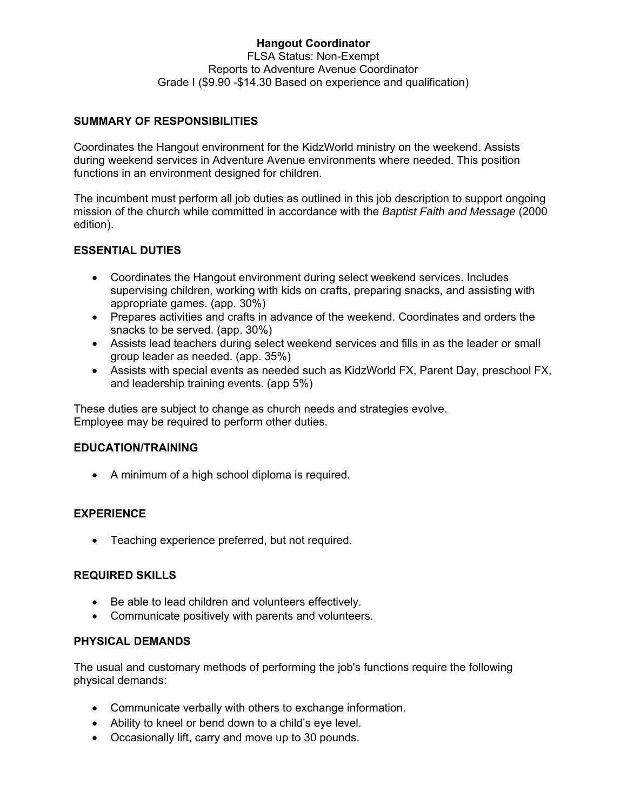### **Hangout Coordinator**  FLSA Status: Non-Exempt Reports to Adventure Avenue Coordinator Grade I (\$9.90 -\$14.30 Based on experience and qualification)

# **SUMMARY OF RESPONSIBILITIES**

Coordinates the Hangout environment for the KidzWorld ministry on the weekend. Assists during weekend services in Adventure Avenue environments where needed. This position functions in an environment designed for children.

The incumbent must perform all job duties as outlined in this job description to support ongoing mission of the church while committed in accordance with the *Baptist Faith and Message* (2000 edition).

### **ESSENTIAL DUTIES**

- Coordinates the Hangout environment during select weekend services. Includes supervising children, working with kids on crafts, preparing snacks, and assisting with appropriate games. (app. 30%)
- Prepares activities and crafts in advance of the weekend. Coordinates and orders the snacks to be served. (app. 30%)
- Assists lead teachers during select weekend services and fills in as the leader or small group leader as needed. (app. 35%)
- Assists with special events as needed such as KidzWorld FX, Parent Day, preschool FX, and leadership training events. (app 5%)

These duties are subject to change as church needs and strategies evolve. Employee may be required to perform other duties.

### **EDUCATION/TRAINING**

A minimum of a high school diploma is required.

### **EXPERIENCE**

Teaching experience preferred, but not required.

### **REQUIRED SKILLS**

- Be able to lead children and volunteers effectively.
- Communicate positively with parents and volunteers.

### **PHYSICAL DEMANDS**

The usual and customary methods of performing the job's functions require the following physical demands:

- Communicate verbally with others to exchange information.
- Ability to kneel or bend down to a child's eye level.
- Occasionally lift, carry and move up to 30 pounds.